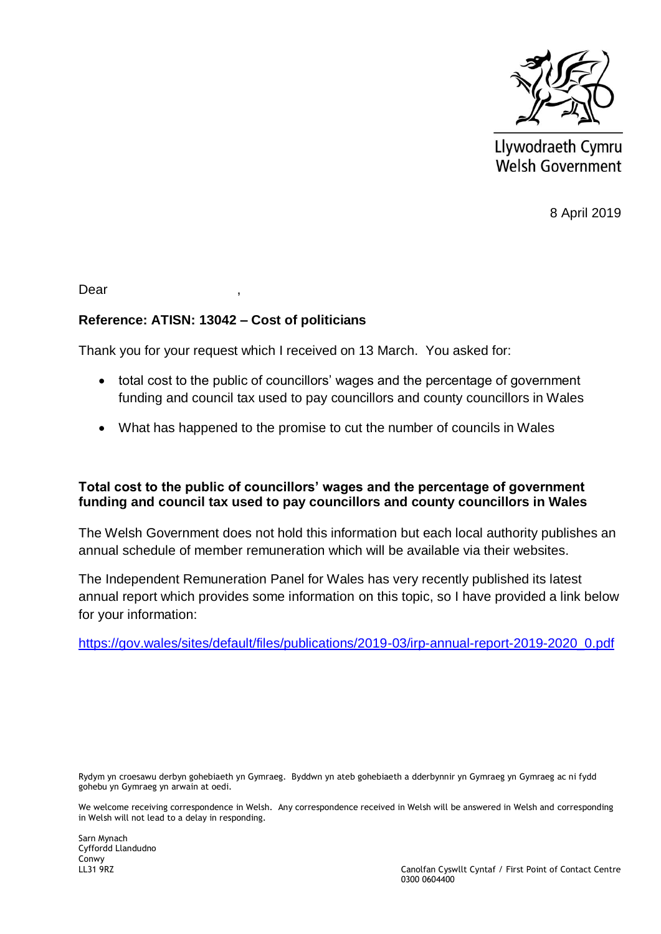

Llywodraeth Cymru **Welsh Government** 

8 April 2019

Dear ,

## **Reference: ATISN: 13042 – Cost of politicians**

Thank you for your request which I received on 13 March. You asked for:

- total cost to the public of councillors' wages and the percentage of government funding and council tax used to pay councillors and county councillors in Wales
- What has happened to the promise to cut the number of councils in Wales

## **Total cost to the public of councillors' wages and the percentage of government funding and council tax used to pay councillors and county councillors in Wales**

The Welsh Government does not hold this information but each local authority publishes an annual schedule of member remuneration which will be available via their websites.

The Independent Remuneration Panel for Wales has very recently published its latest annual report which provides some information on this topic, so I have provided a link below for your information:

[https://gov.wales/sites/default/files/publications/2019-03/irp-annual-report-2019-2020\\_0.pdf](https://gov.wales/sites/default/files/publications/2019-03/irp-annual-report-2019-2020_0.pdf)

Rydym yn croesawu derbyn gohebiaeth yn Gymraeg. Byddwn yn ateb gohebiaeth a dderbynnir yn Gymraeg yn Gymraeg ac ni fydd gohebu yn Gymraeg yn arwain at oedi.

We welcome receiving correspondence in Welsh. Any correspondence received in Welsh will be answered in Welsh and corresponding in Welsh will not lead to a delay in responding.

Sarn Mynach Cyffordd Llandudno Conwy<br>LL31 9RZ